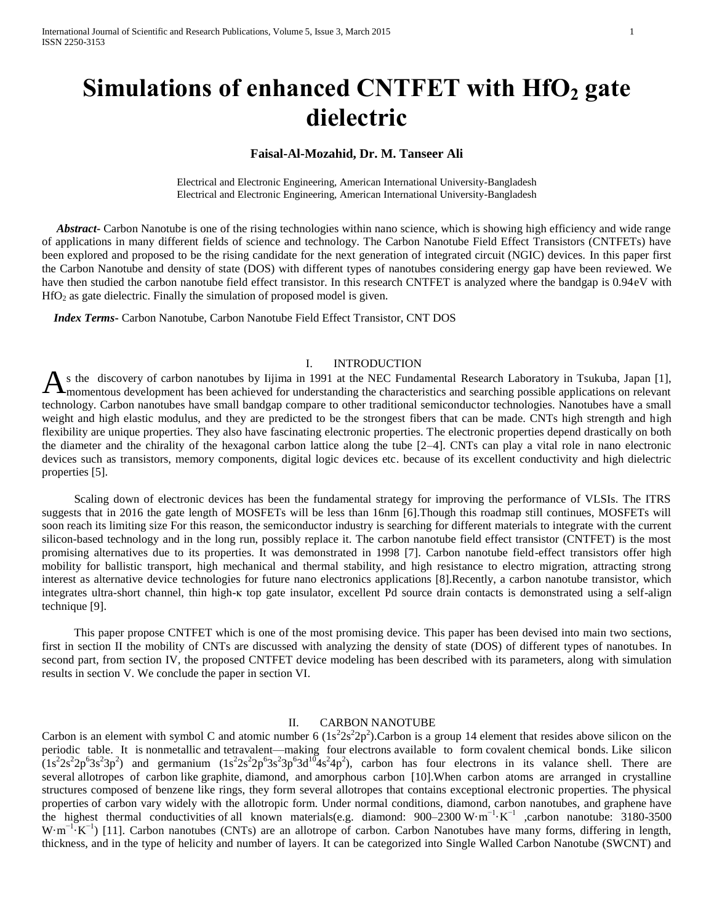# **Simulations of enhanced CNTFET with HfO<sup>2</sup> gate dielectric**

# **Faisal-Al-Mozahid, Dr. M. Tanseer Ali**

Electrical and Electronic Engineering, American International University-Bangladesh Electrical and Electronic Engineering, American International University-Bangladesh

 *Abstract***-** Carbon Nanotube is one of the rising technologies within nano science, which is showing high efficiency and wide range of applications in many different fields of science and technology. The Carbon Nanotube Field Effect Transistors (CNTFETs) have been explored and proposed to be the rising candidate for the next generation of integrated circuit (NGIC) devices. In this paper first the Carbon Nanotube and density of state (DOS) with different types of nanotubes considering energy gap have been reviewed. We have then studied the carbon nanotube field effect transistor. In this research CNTFET is analyzed where the bandgap is 0.94eV with  $HfO<sub>2</sub>$  as gate dielectric. Finally the simulation of proposed model is given.

 *Index Terms***-** Carbon Nanotube, Carbon Nanotube Field Effect Transistor, CNT DOS

### I. INTRODUCTION

s the discovery of carbon nanotubes by Iijima in 1991 at the NEC Fundamental Research Laboratory in Tsukuba, Japan [1], As the discovery of carbon nanotubes by Iijima in 1991 at the NEC Fundamental Research Laboratory in Tsukuba, Japan [1],<br>Amomentous development has been achieved for understanding the characteristics and searching possible technology. Carbon nanotubes have small bandgap compare to other traditional semiconductor technologies. Nanotubes have a small weight and high elastic modulus, and they are predicted to be the strongest fibers that can be made. CNTs high strength and high flexibility are unique properties. They also have fascinating electronic properties. The electronic properties depend drastically on both the diameter and the chirality of the hexagonal carbon lattice along the tube [2–4]. CNTs can play a vital role in nano electronic devices such as transistors, memory components, digital logic devices etc. because of its excellent conductivity and high dielectric properties [5].

 Scaling down of electronic devices has been the fundamental strategy for improving the performance of VLSIs. The ITRS suggests that in 2016 the gate length of MOSFETs will be less than 16nm [6].Though this roadmap still continues, MOSFETs will soon reach its limiting size For this reason, the semiconductor industry is searching for different materials to integrate with the current silicon-based technology and in the long run, possibly replace it. The carbon nanotube field effect transistor (CNTFET) is the most promising alternatives due to its properties. It was demonstrated in 1998 [7]. Carbon nanotube field-effect transistors offer high mobility for ballistic transport, high mechanical and thermal stability, and high resistance to electro migration, attracting strong interest as alternative device technologies for future nano electronics applications [8].Recently, a carbon nanotube transistor, which integrates ultra-short channel, thin high-κ top gate insulator, excellent Pd source drain contacts is demonstrated using a self-align technique [9].

 This paper propose CNTFET which is one of the most promising device. This paper has been devised into main two sections, first in section II the mobility of CNTs are discussed with analyzing the density of state (DOS) of different types of nanotubes. In second part, from section IV, the proposed CNTFET device modeling has been described with its parameters, along with simulation results in section V. We conclude the paper in section VI.

### II. CARBON NANOTUBE

Carbon is an element with symbol C and atomic number 6  $(1s^22s^22p^2)$ . Carbon is a [group 14](http://en.wikipedia.org/wiki/Group_14) element that resides above silicon on the [periodic table.](http://en.wikipedia.org/wiki/Periodic_table) It is [nonmetallic](http://en.wikipedia.org/wiki/Nonmetal) and [tetravalent—](http://en.wikipedia.org/wiki/Tetravalence)making four [electrons](http://en.wikipedia.org/wiki/Electrons) available to form [covalent](http://en.wikipedia.org/wiki/Covalent_bond) chemical bonds. Like silicon  $(1s^22s^22p^63s^23p^2)$  and germanium  $(1s^22s^22p^63s^23p^63d^{10}4s^24p^2)$ , carbon has four electrons in its valance shell. There are several [allotropes of carbon](http://en.wikipedia.org/wiki/Allotropes_of_carbon) like [graphite,](http://en.wikipedia.org/wiki/Graphite) [diamond,](http://en.wikipedia.org/wiki/Diamond) and [amorphous carbon \[](http://en.wikipedia.org/wiki/Amorphous_carbon)10].When carbon atoms are arranged in crystalline structures composed of benzene like rings, they form several allotropes that contains exceptional electronic properties. The [physical](http://en.wikipedia.org/wiki/Physical_properties)  [properties](http://en.wikipedia.org/wiki/Physical_properties) of carbon vary widely with the allotropic form. Under normal conditions, diamond, [carbon nanotubes,](http://en.wikipedia.org/wiki/Carbon_nanotube) and [graphene](http://en.wikipedia.org/wiki/Graphene) have the highest [thermal conductivities](http://en.wikipedia.org/wiki/Thermal_conductivity) of [all known materials\(](http://en.wikipedia.org/wiki/List_of_thermal_conductivities)e.g. diamond: 900–2300 W·m−1·K−1 ,carbon nanotube: 3180-3500  $W \cdot m^{-1} \cdot K^{-1}$  [11]. Carbon nanotubes (CNTs) are an allotrope of carbon. Carbon Nanotubes have many forms, differing in length, thickness, and in the type of helicity and number of layers. It can be categorized into Single Walled Carbon Nanotube (SWCNT) and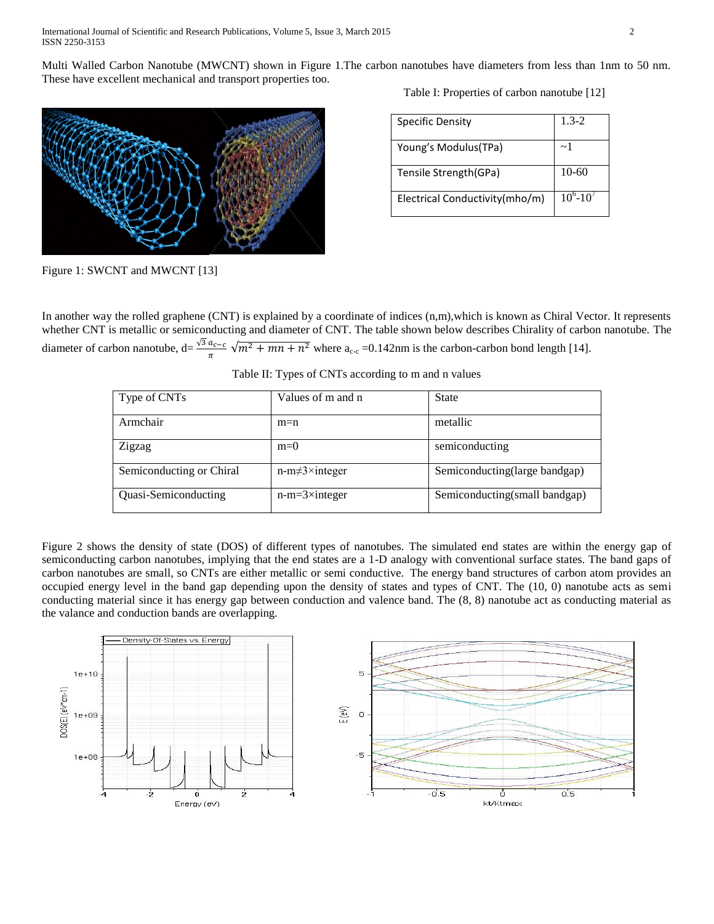Multi Walled Carbon Nanotube (MWCNT) shown in Figure 1.The carbon nanotubes have diameters from less than 1nm to 50 nm. These have excellent mechanical and transport properties too.



Figure 1: SWCNT and MWCNT [13]

Table I: Properties of carbon nanotube [12]

| <b>Specific Density</b>        | $1.3 - 2$         |
|--------------------------------|-------------------|
| Young's Modulus(TPa)           | ~1                |
| Tensile Strength(GPa)          | $10-60$           |
| Electrical Conductivity(mho/m) | $10^{6} - 10^{7}$ |

In another way the rolled graphene (CNT) is explained by a coordinate of indices  $(n,m)$ , which is known as Chiral Vector. It represents whether CNT is metallic or semiconducting and diameter of CNT. The table shown below describes Chirality of carbon nanotube. The diameter of carbon nanotube,  $d = \frac{\sqrt{3} a_{c-c}}{\pi} \sqrt{m^2 + mn + n^2}$  where  $a_{c-c} = 0.142$ nm is the carbon-carbon bond length [14].

|  | Table II: Types of CNTs according to m and n values |  |  |
|--|-----------------------------------------------------|--|--|
|  |                                                     |  |  |

| Type of CNTs             | Values of m and n           | <b>State</b>                  |
|--------------------------|-----------------------------|-------------------------------|
| Armchair                 | $m=n$                       | metallic                      |
| Zigzag                   | $m=0$                       | semiconducting                |
| Semiconducting or Chiral | $n-m \neq 3 \times integer$ | Semiconducting(large bandgap) |
| Quasi-Semiconducting     | $n-m=3\times$ integer       | Semiconducting(small bandgap) |

Figure 2 shows the density of state (DOS) of different types of nanotubes. The simulated end states are within the energy gap of semiconducting carbon nanotubes, implying that the end states are a 1-D analogy with conventional surface states. The band gaps of carbon nanotubes are small, so CNTs are either metallic or semi conductive. The energy band structures of carbon atom provides an occupied energy level in the band gap depending upon the density of states and types of CNT. The (10, 0) nanotube acts as semi conducting material since it has energy gap between conduction and valence band. The (8, 8) nanotube act as conducting material as the valance and conduction bands are overlapping.

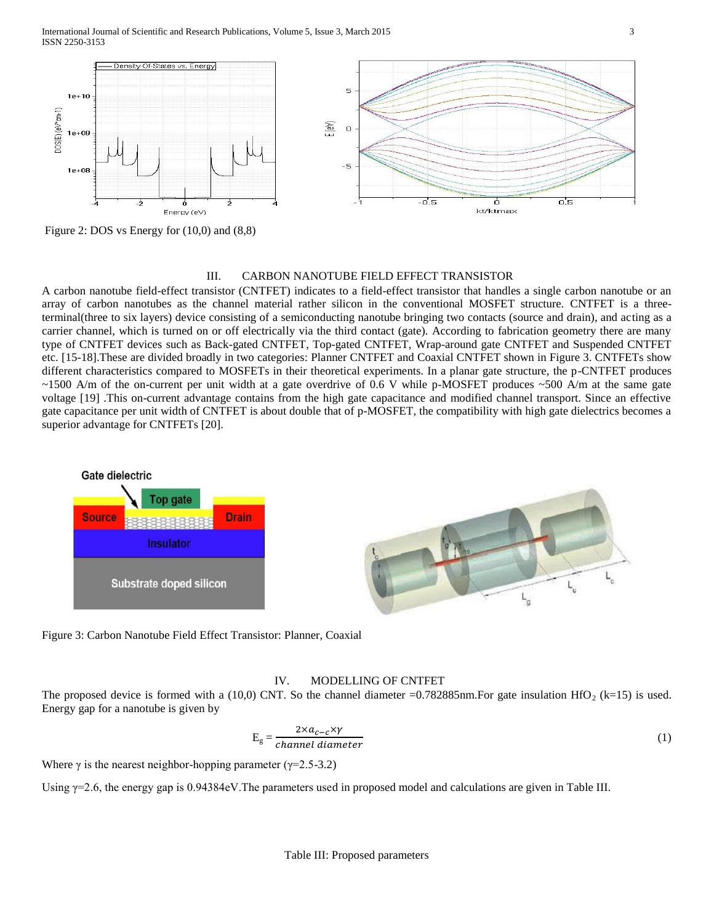International Journal of Scientific and Research Publications, Volume 5, Issue 3, March 2015 3 ISSN 2250-3153



Figure 2: DOS vs Energy for (10,0) and (8,8)

# III. CARBON NANOTUBE FIELD EFFECT TRANSISTOR

A carbon nanotube field-effect transistor (CNTFET) indicates to a field-effect transistor that handles a single carbon nanotube or an array of carbon nanotubes as the channel material rather silicon in the conventional MOSFET structure. CNTFET is a threeterminal(three to six layers) device consisting of a semiconducting nanotube bringing two contacts (source and drain), and acting as a carrier channel, which is turned on or off electrically via the third contact (gate). According to fabrication geometry there are many type of CNTFET devices such as Back-gated CNTFET, Top-gated CNTFET, Wrap-around gate CNTFET and Suspended CNTFET etc. [15-18].These are divided broadly in two categories: Planner CNTFET and Coaxial CNTFET shown in Figure 3. CNTFETs show different characteristics compared to MOSFETs in their theoretical experiments. In a planar gate structure, the p-CNTFET produces  $\sim$ 1500 A/m of the on-current per unit width at a gate overdrive of 0.6 V while p-MOSFET produces  $\sim$ 500 A/m at the same gate voltage [19] .This on-current advantage contains from the high gate capacitance and modified channel transport. Since an effective gate capacitance per unit width of CNTFET is about double that of p-MOSFET, the compatibility with high gate dielectrics becomes a superior advantage for CNTFETs [20].



Figure 3: Carbon Nanotube Field Effect Transistor: Planner, Coaxial

### IV. MODELLING OF CNTFET

The proposed device is formed with a (10,0) CNT. So the channel diameter =0.782885nm. For gate insulation HfO<sub>2</sub> (k=15) is used. Energy gap for a nanotube is given by

$$
E_g = \frac{2 \times a_{c-c} \times \gamma}{channel\ diameter} \tag{1}
$$

Where  $\gamma$  is the nearest neighbor-hopping parameter ( $\gamma$ =2.5-3.2)

Using γ=2.6, the energy gap is 0.94384eV.The parameters used in proposed model and calculations are given in Table III.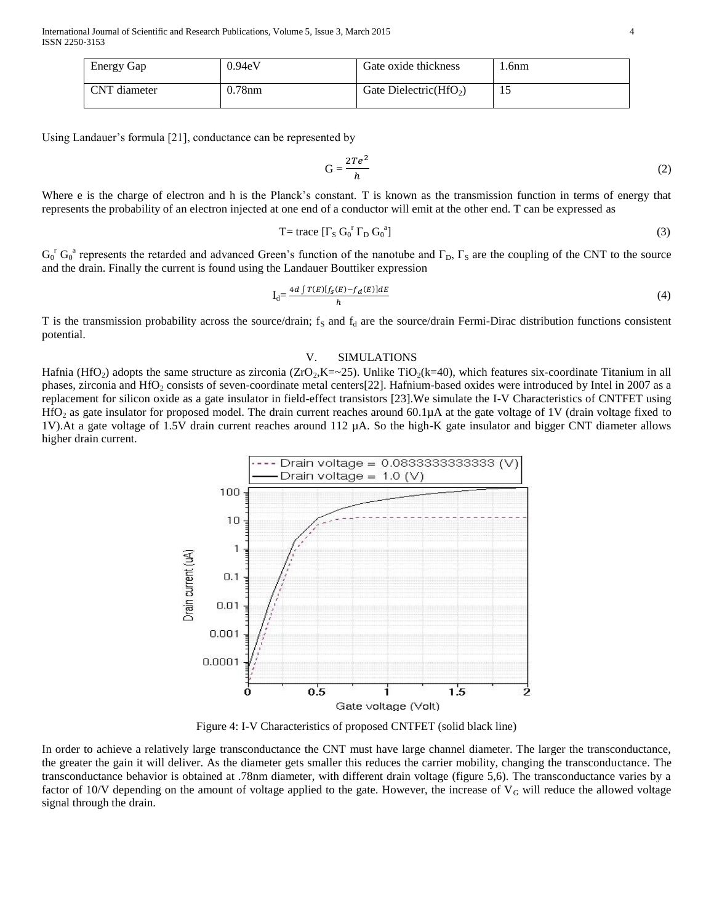International Journal of Scientific and Research Publications, Volume 5, Issue 3, March 2015 4 ISSN 2250-3153

| Energy Gap   | 0.94eV | Gate oxide thickness      | .6nm |
|--------------|--------|---------------------------|------|
| CNT diameter | 0.78nm | Gate Dielectric( $HfO2$ ) |      |

Using Landauer's formula [21], conductance can be represented by

$$
G = \frac{2Te^2}{h} \tag{2}
$$

Where e is the charge of electron and h is the Planck's constant. T is known as the transmission function in terms of energy that represents the probability of an electron injected at one end of a conductor will emit at the other end. T can be expressed as

$$
T = \text{trace} \left[ \Gamma_{\text{S}} \, G_0^{\ \text{r}} \, \Gamma_{\text{D}} \, G_0^{\ \text{a}} \right] \tag{3}
$$

 $G_0^r G_0^a$  represents the retarded and advanced Green's function of the nanotube and  $\Gamma_D$ ,  $\Gamma_S$  are the coupling of the CNT to the source and the drain. Finally the current is found using the Landauer Bouttiker expression

$$
I_d = \frac{4d \int T(E)[f_S(E) - f_d(E)]dE}{h} \tag{4}
$$

T is the transmission probability across the source/drain;  $f_s$  and  $f_d$  are the source/drain Fermi-Dirac distribution functions consistent potential.

#### V. SIMULATIONS

Hafnia (HfO<sub>2</sub>) adopts the same structure as zirconia (ZrO<sub>2</sub>,K=~25). Unlike TiO<sub>2</sub>(k=40), which features six-coordinate Titanium in all phases, zirconia and HfO<sub>2</sub> consists of seven-coordinate metal centers[22]. Hafnium-based oxides were introduced by Intel in 2007 as a replacement for silicon oxide as a gate insulator in field-effect transistors [23].We simulate the I-V Characteristics of CNTFET using HfO<sub>2</sub> as gate insulator for proposed model. The drain current reaches around 60.1µA at the gate voltage of 1V (drain voltage fixed to 1V).At a gate voltage of 1.5V drain current reaches around 112 µA. So the high-K gate insulator and bigger CNT diameter allows higher drain current.



Figure 4: I-V Characteristics of proposed CNTFET (solid black line)

In order to achieve a relatively large transconductance the CNT must have large channel diameter. The larger the transconductance, the greater the gain it will deliver. As the diameter gets smaller this reduces the carrier mobility, changing the transconductance. The transconductance behavior is obtained at .78nm diameter, with different drain voltage (figure 5,6). The transconductance varies by a factor of  $10$ /V depending on the amount of voltage applied to the gate. However, the increase of  $V<sub>G</sub>$  will reduce the allowed voltage signal through the drain.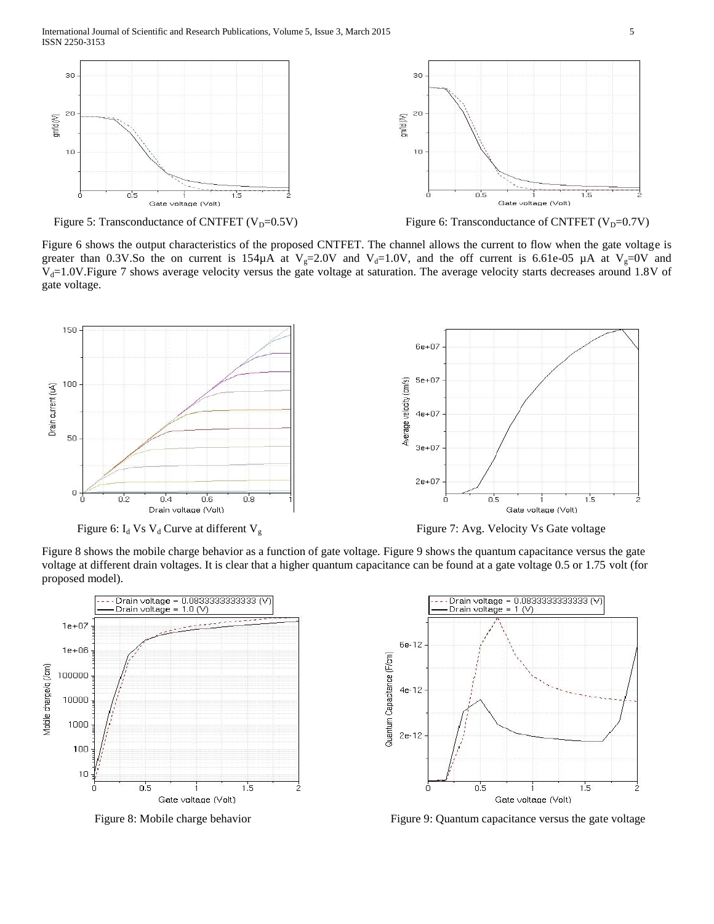



Figure 6 shows the output characteristics of the proposed CNTFET. The channel allows the current to flow when the gate voltage is greater than 0.3V.So the on current is 154 $\mu$ A at V<sub>g</sub>=2.0V and V<sub>d</sub>=1.0V, and the off current is 6.61e-05  $\mu$ A at V<sub>g</sub>=0V and  $V<sub>d</sub>=1.0V$ . Figure 7 shows average velocity versus the gate voltage at saturation. The average velocity starts decreases around 1.8V of gate voltage.



Figure 6:  $I_d$  Vs  $V_d$  Curve at different  $V_g$  Figure 7: Avg. Velocity Vs Gate voltage

Figure 8 shows the mobile charge behavior as a function of gate voltage. Figure 9 shows the quantum capacitance versus the gate voltage at different drain voltages. It is clear that a higher quantum capacitance can be found at a gate voltage 0.5 or 1.75 volt (for proposed model).





Figure 8: Mobile charge behavior Figure 9: Quantum capacitance versus the gate voltage